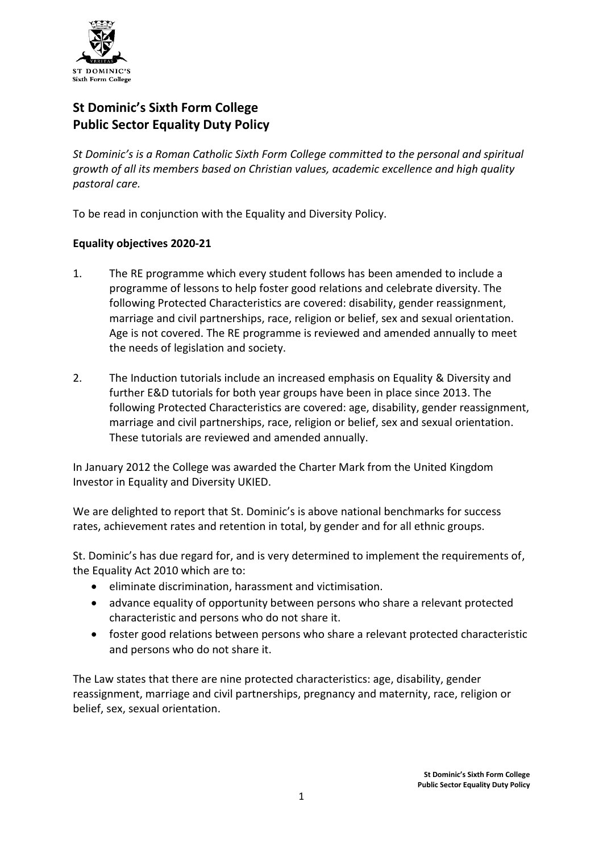

# **St Dominic's Sixth Form College Public Sector Equality Duty Policy**

*St Dominic's is a Roman Catholic Sixth Form College committed to the personal and spiritual growth of all its members based on Christian values, academic excellence and high quality pastoral care.*

To be read in conjunction with the Equality and Diversity Policy.

## **Equality objectives 2020-21**

- 1. The RE programme which every student follows has been amended to include a programme of lessons to help foster good relations and celebrate diversity. The following Protected Characteristics are covered: disability, gender reassignment, marriage and civil partnerships, race, religion or belief, sex and sexual orientation. Age is not covered. The RE programme is reviewed and amended annually to meet the needs of legislation and society.
- 2. The Induction tutorials include an increased emphasis on Equality & Diversity and further E&D tutorials for both year groups have been in place since 2013. The following Protected Characteristics are covered: age, disability, gender reassignment, marriage and civil partnerships, race, religion or belief, sex and sexual orientation. These tutorials are reviewed and amended annually.

In January 2012 the College was awarded the Charter Mark from the United Kingdom Investor in Equality and Diversity UKIED.

We are delighted to report that St. Dominic's is above national benchmarks for success rates, achievement rates and retention in total, by gender and for all ethnic groups.

St. Dominic's has due regard for, and is very determined to implement the requirements of, the Equality Act 2010 which are to:

- eliminate discrimination, harassment and victimisation.
- advance equality of opportunity between persons who share a relevant protected characteristic and persons who do not share it.
- foster good relations between persons who share a relevant protected characteristic and persons who do not share it.

The Law states that there are nine protected characteristics: age, disability, gender reassignment, marriage and civil partnerships, pregnancy and maternity, race, religion or belief, sex, sexual orientation.